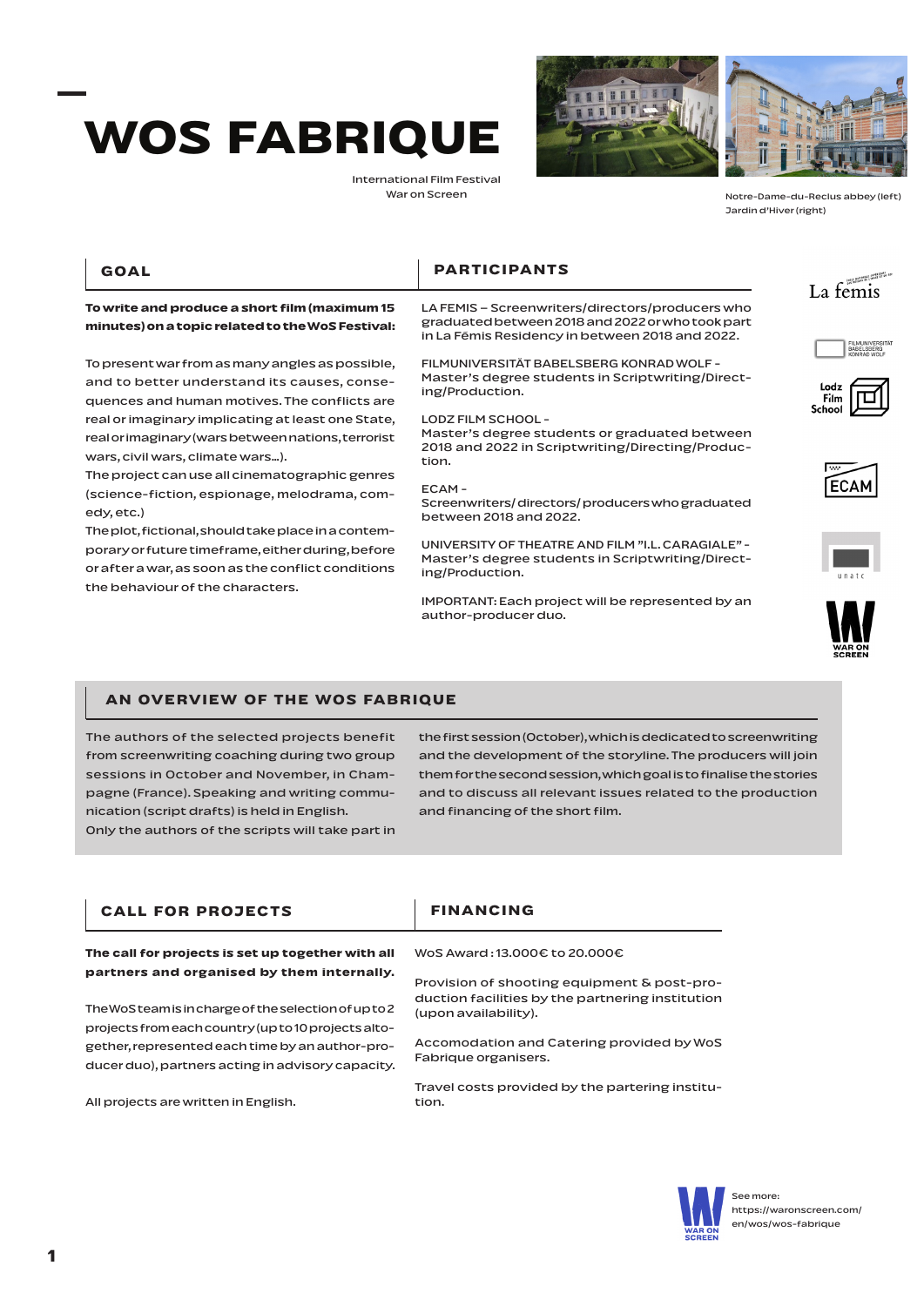# **WOS FABRIQUE**

**To write and produce a short film (maximum 15 minutes) on a topic related to the WoS Festival:** 

To present war from as many angles as possible, and to better understand its causes, consequences and human motives. The conflicts are real or imaginary implicating at least one State, real or imaginary (wars between nations, terrorist

The project can use all cinematographic genres (science-fiction, espionage, melodrama, com-

The plot, fictional, should take place in a contemporary or future timeframe, either during, before or after a war, as soon as the conflict conditions

wars, civil wars, climate wars…).

the behaviour of the characters.

International Film Festival War on Screen





Notre-Dame-du-Reclus abbey (left) Jardin d'Hiver (right)

#### **GOAL**

edy, etc.)

## **PARTICIPANTS**

LA FEMIS – Screenwriters/directors/producers who graduated between 2018 and 2022 or who took part in La Fémis Residency in between 2018 and 2022.

FILMUNIVERSITÄT BABELSBERG KONRAD WOLF - Master's degree students in Scriptwriting/Directing/Production.

LODZ FILM SCHOOL -

Master's degree students or graduated between 2018 and 2022 in Scriptwriting/Directing/Production.

#### ECAM -

Screenwriters/ directors/ producers who graduated between 2018 and 2022.

UNIVERSITY OF THEATRE AND FILM "I.L. CARAGIALE" - Master's degree students in Scriptwriting/Directing/Production.

IMPORTANT: Each project will be represented by an author-producer duo.



# **BABELSBERG**







### **AN OVERVIEW OF THE WOS FABRIQUE**

The authors of the selected projects benefit from screenwriting coaching during two group sessions in October and November, in Champagne (France). Speaking and writing communication (script drafts) is held in English. Only the authors of the scripts will take part in

the first session (October), which is dedicated to screenwriting and the development of the storyline. The producers will join them for the second session, which goal is to finalise the stories and to discuss all relevant issues related to the production and financing of the short film.

| <b>CALL FOR PROJECTS</b>                                                                                                                                                                                                                                          | <b>FINANCING</b>                                                                                                        |
|-------------------------------------------------------------------------------------------------------------------------------------------------------------------------------------------------------------------------------------------------------------------|-------------------------------------------------------------------------------------------------------------------------|
| The call for projects is set up together with all                                                                                                                                                                                                                 | WoS Award:13,000€ to 20,000€                                                                                            |
| partners and organised by them internally.<br>The WoSteam is in charge of the selection of up to 2<br>projects from each country (up to 10 projects alto-<br>gether, represented each time by an author-pro-<br>ducer duo), partners acting in advisory capacity. | Provision of shooting equipment & post-pro-<br>duction facilities by the partnering institution<br>(upon availability). |
|                                                                                                                                                                                                                                                                   | Accomodation and Catering provided by WoS<br>Fabrique organisers.                                                       |
| All projects are written in English.                                                                                                                                                                                                                              | Travel costs provided by the partering institu-<br>tion.                                                                |